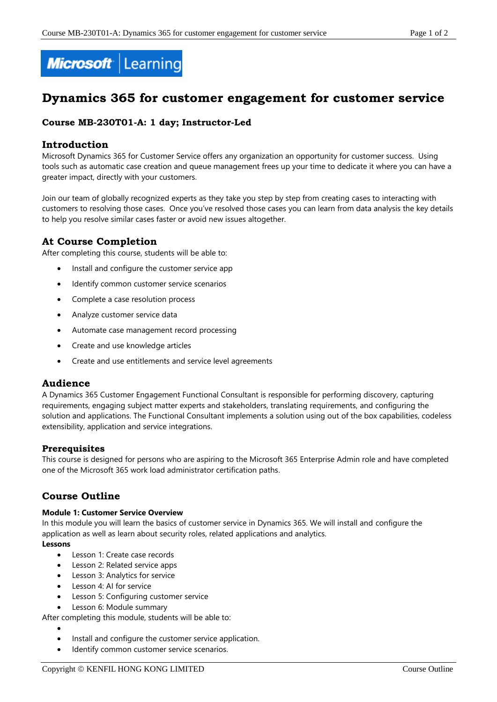

# **Dynamics 365 for customer engagement for customer service**

## **Course MB-230T01-A: 1 day; Instructor-Led**

### **Introduction**

Microsoft Dynamics 365 for Customer Service offers any organization an opportunity for customer success. Using tools such as automatic case creation and queue management frees up your time to dedicate it where you can have a greater impact, directly with your customers.

Join our team of globally recognized experts as they take you step by step from creating cases to interacting with customers to resolving those cases. Once you've resolved those cases you can learn from data analysis the key details to help you resolve similar cases faster or avoid new issues altogether.

# **At Course Completion**

After completing this course, students will be able to:

- Install and configure the customer service app
- Identify common customer service scenarios
- Complete a case resolution process
- Analyze customer service data
- Automate case management record processing
- Create and use knowledge articles
- Create and use entitlements and service level agreements

### **Audience**

A Dynamics 365 Customer Engagement Functional Consultant is responsible for performing discovery, capturing requirements, engaging subject matter experts and stakeholders, translating requirements, and configuring the solution and applications. The Functional Consultant implements a solution using out of the box capabilities, codeless extensibility, application and service integrations.

### **Prerequisites**

This course is designed for persons who are aspiring to the Microsoft 365 Enterprise Admin role and have completed one of the Microsoft 365 work load administrator certification paths.

# **Course Outline**

#### **Module 1: Customer Service Overview**

In this module you will learn the basics of customer service in Dynamics 365. We will install and configure the application as well as learn about security roles, related applications and analytics.

# **Lessons**

- Lesson 1: Create case records
- Lesson 2: Related service apps
- Lesson 3: Analytics for service
- **•** Lesson 4: AI for service
- **•** Lesson 5: Configuring customer service
- Lesson 6: Module summary

After completing this module, students will be able to:

- $\bullet$
- Install and configure the customer service application.
- Identify common customer service scenarios.